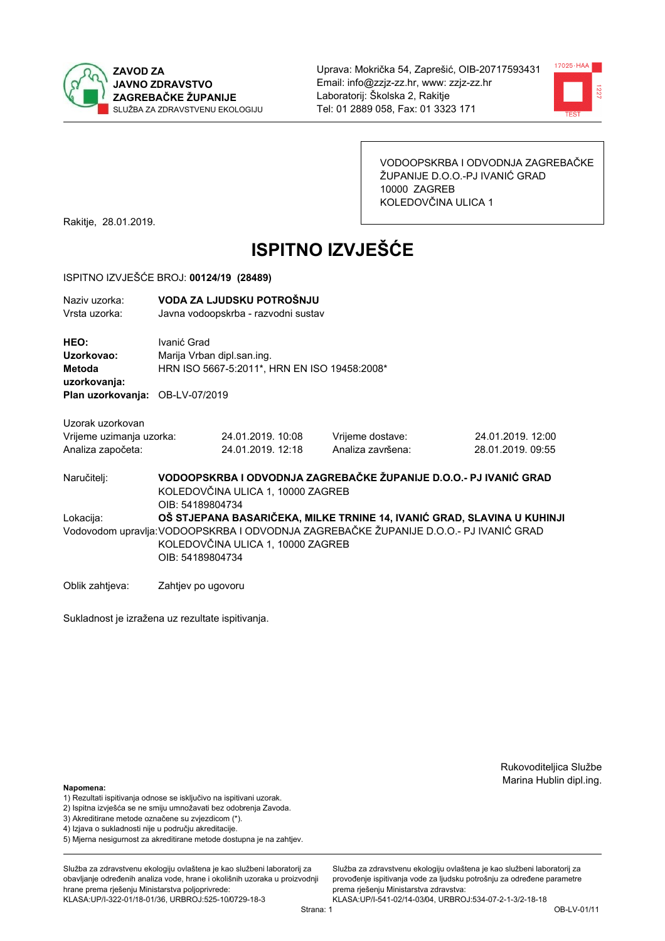



VODOOPSKRBA I ODVODNJA ZAGREBAČKE ŽUPANIJE D.O.O.-PJ IVANIĆ GRAD 10000 ZAGREB KOLEDOVČINA ULICA 1

Rakitje, 28.01.2019.

# **ISPITNO IZVJEŠĆE**

#### ISPITNO IZVJEŠĆE BROJ: 00124/19 (28489)

| Naziv uzorka:<br>Vrsta uzorka:  |                    | VODA ZA LJUDSKU POTROŠNJU<br>Javna vodoopskrba - razvodni sustav |                                                                                       |                                                                         |  |  |  |
|---------------------------------|--------------------|------------------------------------------------------------------|---------------------------------------------------------------------------------------|-------------------------------------------------------------------------|--|--|--|
| HEO:<br>Uzorkovao:              | Ivanić Grad        | Marija Vrban dipl.san.ing.                                       |                                                                                       |                                                                         |  |  |  |
| <b>Metoda</b><br>uzorkovanja:   |                    | HRN ISO 5667-5:2011*, HRN EN ISO 19458:2008*                     |                                                                                       |                                                                         |  |  |  |
| Plan uzorkovanja: OB-LV-07/2019 |                    |                                                                  |                                                                                       |                                                                         |  |  |  |
| Uzorak uzorkovan                |                    |                                                                  |                                                                                       |                                                                         |  |  |  |
| Vrijeme uzimanja uzorka:        |                    | 24.01.2019. 10:08                                                | Vrijeme dostave:                                                                      | 24.01.2019. 12:00                                                       |  |  |  |
| Analiza započeta:               |                    | 24.01.2019. 12:18                                                | Analiza završena:                                                                     | 28.01.2019. 09:55                                                       |  |  |  |
| Naručitelj:                     | OIB: 54189804734   | KOLEDOVČINA ULICA 1, 10000 ZAGREB                                | VODOOPSKRBA I ODVODNJA ZAGREBAČKE ŽUPANIJE D.O.O.- PJ IVANIĆ GRAD                     |                                                                         |  |  |  |
| Lokacija:                       | OIB: 54189804734   | KOLEDOVČINA ULICA 1, 10000 ZAGREB                                | Vodovodom upravlja: VODOOPSKRBA I ODVODNJA ZAGREBAČKE ŽUPANIJE D.O.O.- PJ IVANIĆ GRAD | OŠ STJEPANA BASARIČEKA, MILKE TRNINE 14, IVANIĆ GRAD, SLAVINA U KUHINJI |  |  |  |
| Oblik zahtieva:                 | Zahtjev po ugovoru |                                                                  |                                                                                       |                                                                         |  |  |  |

Sukladnost je izražena uz rezultate ispitivanja.

Rukovoditeljica Službe Marina Hublin dipl.ing.

#### Napomena:

- 1) Rezultati ispitivanja odnose se isključivo na ispitivani uzorak.
- 2) Ispitna izvješća se ne smiju umnožavati bez odobrenja Zavoda.
- 3) Akreditirane metode označene su zvjezdicom (\*).
- 4) Iziava o sukladnosti nije u području akreditacije.
- 5) Mjerna nesigurnost za akreditirane metode dostupna je na zahtjev.

Služba za zdravstvenu ekologiju ovlaštena je kao službeni laboratorij za obavlianie određenih analiza vode, hrane i okolišnih uzoraka u proizvodniji hrane prema rješenju Ministarstva poljoprivrede: KLASA:UP/I-322-01/18-01/36, URBROJ:525-10/0729-18-3

Služba za zdravstvenu ekologiju ovlaštena je kao službeni laboratorij za provođenie ispitivania vode za liudsku potrošniu za određene parametre prema rješenju Ministarstva zdravstva: KLASA:UP/I-541-02/14-03/04, URBROJ:534-07-2-1-3/2-18-18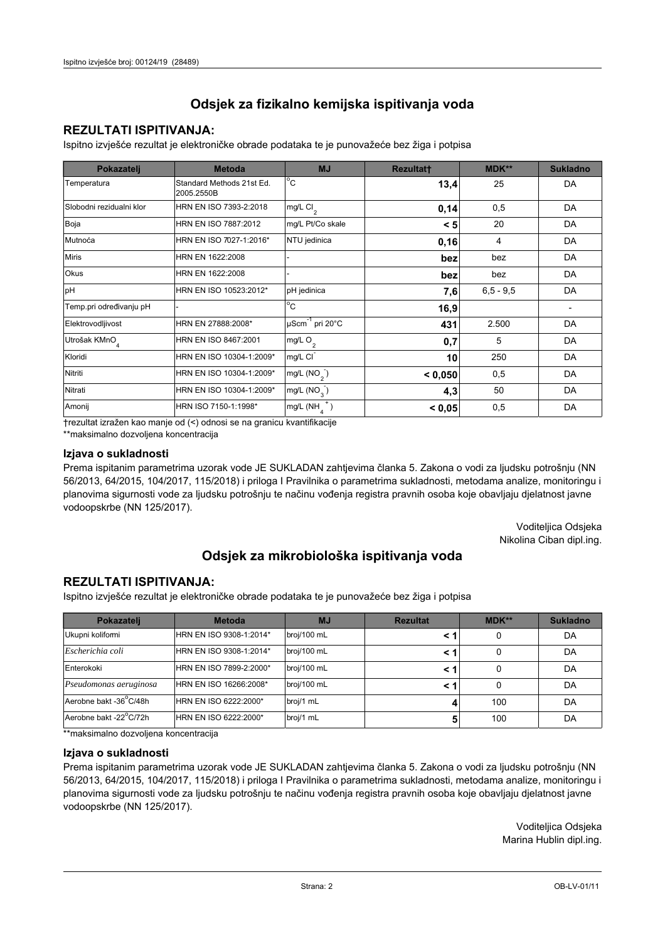## **REZULTATI ISPITIVANJA:**

Ispitno izviešće rezultat je elektroničke obrade podataka te je punovažeće bez žiga i potpisa

| Pokazatelj                | <b>Metoda</b>                           | <b>MJ</b>                   | <b>Rezultatt</b> | <b>MDK**</b>  | <b>Sukladno</b> |
|---------------------------|-----------------------------------------|-----------------------------|------------------|---------------|-----------------|
| Temperatura               | Standard Methods 21st Ed.<br>2005.2550B | $^{\circ}$ C                | 13,4             | 25            | DA              |
| Slobodni rezidualni klor  | HRN EN ISO 7393-2:2018                  | mg/L Cl <sub>2</sub>        | 0,14             | 0,5           | DA              |
| Boja                      | HRN EN ISO 7887:2012                    | mg/L Pt/Co skale            | < 5              | 20            | DA              |
| Mutnoća                   | HRN EN ISO 7027-1:2016*                 | NTU jedinica                | 0,16             | 4             | DA              |
| <b>Miris</b>              | HRN EN 1622:2008                        |                             | bez              | bez           | DA              |
| <b>Okus</b>               | HRN EN 1622:2008                        |                             | bez              | bez           | DA              |
| pH                        | HRN EN ISO 10523:2012*                  | pH jedinica                 | 7,6              | $6, 5 - 9, 5$ | DA              |
| Temp.pri određivanju pH   |                                         | $\overline{C}$              | 16,9             |               |                 |
| Elektrovodljivost         | HRN EN 27888:2008*                      | µScm <sup>-1</sup> pri 20°C | 431              | 2.500         | DA              |
| Utrošak KMnO <sub>4</sub> | HRN EN ISO 8467:2001                    | mg/L O <sub>2</sub>         | 0,7              | 5             | DA              |
| Kloridi                   | HRN EN ISO 10304-1:2009*                | mg/L CI                     | 10               | 250           | DA              |
| Nitriti                   | HRN EN ISO 10304-1:2009*                | mg/L $(NO2)$                | < 0,050          | 0,5           | DA              |
| Nitrati                   | HRN EN ISO 10304-1:2009*                | mg/L (NO <sub>3</sub> )     | 4,3              | 50            | DA              |
| Amonij                    | HRN ISO 7150-1:1998*                    | mg/L (NH                    | < 0,05           | 0,5           | DA              |

trezultat izražen kao manje od (<) odnosi se na granicu kvantifikacije

\*\*maksimalno dozvoljena koncentracija

#### Izjava o sukladnosti

Prema ispitanim parametrima uzorak vode JE SUKLADAN zahtievima članka 5. Zakona o vodi za ljudsku potrošnju (NN 56/2013, 64/2015, 104/2017, 115/2018) i priloga I Pravilnika o parametrima sukladnosti, metodama analize, monitoringu i planovima sigurnosti vode za ljudsku potrošnju te načinu vođenja registra pravnih osoba koje obavljaju djelatnost javne vodoopskrbe (NN 125/2017).

> Voditeljica Odsjeka Nikolina Ciban dipl.ing.

# Odsjek za mikrobiološka ispitivanja voda

### **REZULTATI ISPITIVANJA:**

Ispitno izvješće rezultat je elektroničke obrade podataka te je punovažeće bez žiga i potpisa

| Pokazatelj             | <b>Metoda</b>           | <b>MJ</b>   | <b>Rezultat</b> | <b>MDK**</b> | <b>Sukladno</b> |
|------------------------|-------------------------|-------------|-----------------|--------------|-----------------|
| Ukupni kolifomi        | HRN EN ISO 9308-1:2014* | broj/100 mL |                 | 0            | DA              |
| Escherichia coli       | HRN EN ISO 9308-1:2014* | broj/100 mL | < 1             |              | DA              |
| Enterokoki             | HRN EN ISO 7899-2:2000* | broj/100 mL | < '             |              | DA              |
| Pseudomonas aeruginosa | HRN EN ISO 16266:2008*  | broj/100 mL | < 1             | 0            | DA              |
| Aerobne bakt -36 C/48h | HRN EN ISO 6222:2000*   | broj/1 mL   |                 | 100          | DA              |
| Aerobne bakt -22°C/72h | HRN EN ISO 6222:2000*   | broj/1 mL   |                 | 100          | DA              |

\*\* maksimalno dozvoljena koncentracija

#### Izjava o sukladnosti

Prema ispitanim parametrima uzorak vode JE SUKLADAN zahtjevima članka 5. Zakona o vodi za ljudsku potrošnju (NN 56/2013, 64/2015, 104/2017, 115/2018) i priloga I Pravilnika o parametrima sukladnosti, metodama analize, monitoringu i planovima sigurnosti vode za ljudsku potrošnju te načinu vođenja registra pravnih osoba koje obavljaju djelatnost javne vodoopskrbe (NN 125/2017).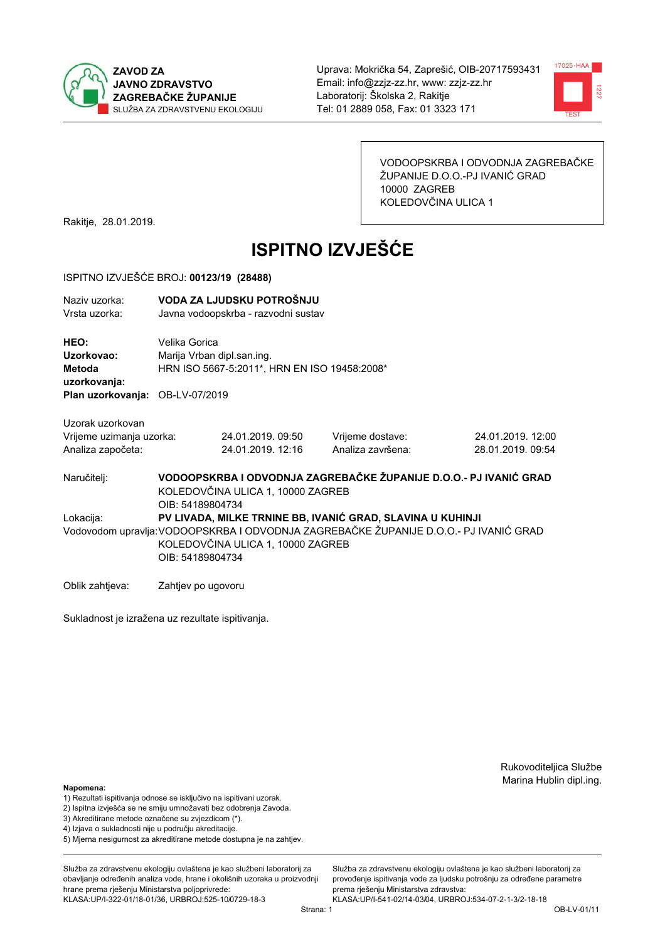



VODOOPSKRBA I ODVODNJA ZAGREBAČKE ŽUPANIJE D.O.O.-PJ IVANIĆ GRAD 10000 ZAGREB KOLEDOVČINA ULICA 1

Rakitje, 28.01.2019.

# **ISPITNO IZVJEŠĆE**

#### ISPITNO IZVJEŠĆE BROJ: 00123/19 (28488)

| Naziv uzorka: | VODA ZA LJUDSKU POTROŠNJU           |
|---------------|-------------------------------------|
| Vrsta uzorka: | Javna vodoopskrba - razvodni sustav |
| HEO:          | Velika Gorica                       |

Uzorkovao: Mariia Vrban dipl.san.ing. HRN ISO 5667-5:2011\*, HRN EN ISO 19458:2008\* Metoda uzorkovanja:

Plan uzorkovanja: OB-LV-07/2019

| Uzorak uzorkovan         |  |
|--------------------------|--|
| Vrijeme uzimanja uzorka: |  |

| Vrijeme uzimanja uzorka: | 24.01.2019. 09:50 |  |
|--------------------------|-------------------|--|
| Analiza započeta:        | 24.01.2019. 12:16 |  |

Vrijeme dostave: Analiza završena:

24.01.2019.12:00 28.01.2019.09:54

VODOOPSKRBA I ODVODNJA ZAGREBAČKE ŽUPANIJE D.O.O.- PJ IVANIĆ GRAD Naručitelj: KOLEDOVČINA ULICA 1, 10000 ZAGREB OIB: 54189804734 PV LIVADA, MILKE TRNINE BB. IVANIĆ GRAD, SLAVINA U KUHINJI Lokacija: Vodovodom upravlja: VODOOPSKRBA I ODVODNJA ZAGREBAČKE ŽUPANIJE D.O.O.- PJ IVANIĆ GRAD KOLEDOVČINA ULICA 1, 10000 ZAGREB OIB: 54189804734

Oblik zahtjeva: Zahtjev po ugovoru

Sukladnost je izražena uz rezultate ispitivanja.

Rukovoditeljica Službe Marina Hublin dipl.ing.

#### Napomena:

- 1) Rezultati ispitivanja odnose se isključivo na ispitivani uzorak.
- 2) Ispitna izvješća se ne smiju umnožavati bez odobrenja Zavoda.
- 3) Akreditirane metode označene su zvjezdicom (\*).
- 4) Iziava o sukladnosti nije u području akreditacije.
- 5) Mjerna nesigurnost za akreditirane metode dostupna je na zahtjev.

Služba za zdravstvenu ekologiju ovlaštena je kao službeni laboratorij za obavlianie određenih analiza vode, hrane i okolišnih uzoraka u proizvodniji hrane prema rješenju Ministarstva poljoprivrede: KLASA:UP/I-322-01/18-01/36, URBROJ:525-10/0729-18-3

Služba za zdravstvenu ekologiju ovlaštena je kao službeni laboratorij za provođenie ispitivania vode za liudsku potrošniu za određene parametre prema riešenju Ministarstva zdravstva: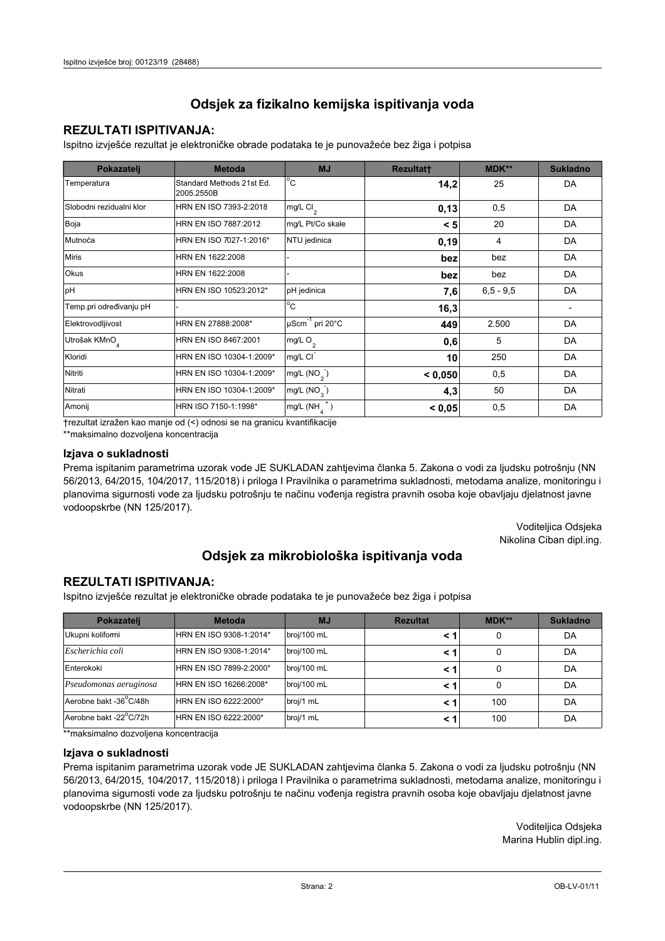## **REZULTATI ISPITIVANJA:**

Ispitno izviešće rezultat je elektroničke obrade podataka te je punovažeće bez žiga i potpisa

| Pokazatelj                | <b>Metoda</b>                           | <b>MJ</b>                   | <b>Rezultatt</b> | <b>MDK**</b>  | <b>Sukladno</b> |
|---------------------------|-----------------------------------------|-----------------------------|------------------|---------------|-----------------|
| Temperatura               | Standard Methods 21st Ed.<br>2005.2550B | $^{\circ}$ C                | 14,2             | 25            | DA              |
| Slobodni rezidualni klor  | HRN EN ISO 7393-2:2018                  | mg/L Cl <sub>2</sub>        | 0,13             | 0,5           | DA              |
| Boja                      | HRN EN ISO 7887:2012                    | mg/L Pt/Co skale            | < 5              | 20            | DA              |
| Mutnoća                   | HRN EN ISO 7027-1:2016*                 | NTU jedinica                | 0, 19            | 4             | DA              |
| <b>Miris</b>              | HRN EN 1622:2008                        |                             | bez              | bez           | DA              |
| <b>Okus</b>               | HRN EN 1622:2008                        |                             | bez              | bez           | DA              |
| pH                        | HRN EN ISO 10523:2012*                  | pH jedinica                 | 7,6              | $6, 5 - 9, 5$ | DA              |
| Temp.pri određivanju pH   |                                         | $\overline{C}$              | 16,3             |               |                 |
| Elektrovodljivost         | HRN EN 27888:2008*                      | µScm <sup>-1</sup> pri 20°C | 449              | 2.500         | DA              |
| Utrošak KMnO <sub>4</sub> | HRN EN ISO 8467:2001                    | mg/L O <sub>2</sub>         | 0,6              | 5             | DA              |
| Kloridi                   | HRN EN ISO 10304-1:2009*                | mg/L CI                     | 10               | 250           | DA              |
| Nitriti                   | HRN EN ISO 10304-1:2009*                | mg/L $(NO2)$                | < 0,050          | 0,5           | DA              |
| Nitrati                   | HRN EN ISO 10304-1:2009*                | mg/L (NO <sub>3</sub> )     | 4,3              | 50            | DA              |
| Amonij                    | HRN ISO 7150-1:1998*                    | mg/L (NH                    | < 0,05           | 0,5           | DA              |

trezultat izražen kao manje od (<) odnosi se na granicu kvantifikacije

\*\*maksimalno dozvoljena koncentracija

#### Izjava o sukladnosti

Prema ispitanim parametrima uzorak vode JE SUKLADAN zahtievima članka 5. Zakona o vodi za ljudsku potrošnju (NN 56/2013, 64/2015, 104/2017, 115/2018) i priloga I Pravilnika o parametrima sukladnosti, metodama analize, monitoringu i planovima sigurnosti vode za ljudsku potrošnju te načinu vođenja registra pravnih osoba koje obavljaju djelatnost javne vodoopskrbe (NN 125/2017).

> Voditeljica Odsjeka Nikolina Ciban dipl.ing.

## Odsjek za mikrobiološka ispitivanja voda

### **REZULTATI ISPITIVANJA:**

Ispitno izvješće rezultat je elektroničke obrade podataka te je punovažeće bez žiga i potpisa

| Pokazatelj             | <b>Metoda</b>           | <b>MJ</b>   | <b>Rezultat</b> | <b>MDK**</b> | <b>Sukladno</b> |
|------------------------|-------------------------|-------------|-----------------|--------------|-----------------|
| Ukupni kolifomi        | HRN EN ISO 9308-1:2014* | broj/100 mL |                 | 0            | DA              |
| Escherichia coli       | HRN EN ISO 9308-1:2014* | broj/100 mL | < 1             | 0            | DA              |
| Enterokoki             | HRN EN ISO 7899-2:2000* | broj/100 mL | < '             |              | DA              |
| Pseudomonas aeruginosa | HRN EN ISO 16266:2008*  | broj/100 mL | < 1             | 0            | DA              |
| Aerobne bakt -36 C/48h | HRN EN ISO 6222:2000*   | broj/1 mL   | < '             | 100          | DA              |
| Aerobne bakt -22°C/72h | HRN EN ISO 6222:2000*   | broj/1 mL   | < 1             | 100          | DA              |

\*\* maksimalno dozvoljena koncentracija

#### Izjava o sukladnosti

Prema ispitanim parametrima uzorak vode JE SUKLADAN zahtjevima članka 5. Zakona o vodi za ljudsku potrošnju (NN 56/2013, 64/2015, 104/2017, 115/2018) i priloga I Pravilnika o parametrima sukladnosti, metodama analize, monitoringu i planovima sigurnosti vode za ljudsku potrošnju te načinu vođenja registra pravnih osoba koje obavljaju djelatnost javne vodoopskrbe (NN 125/2017).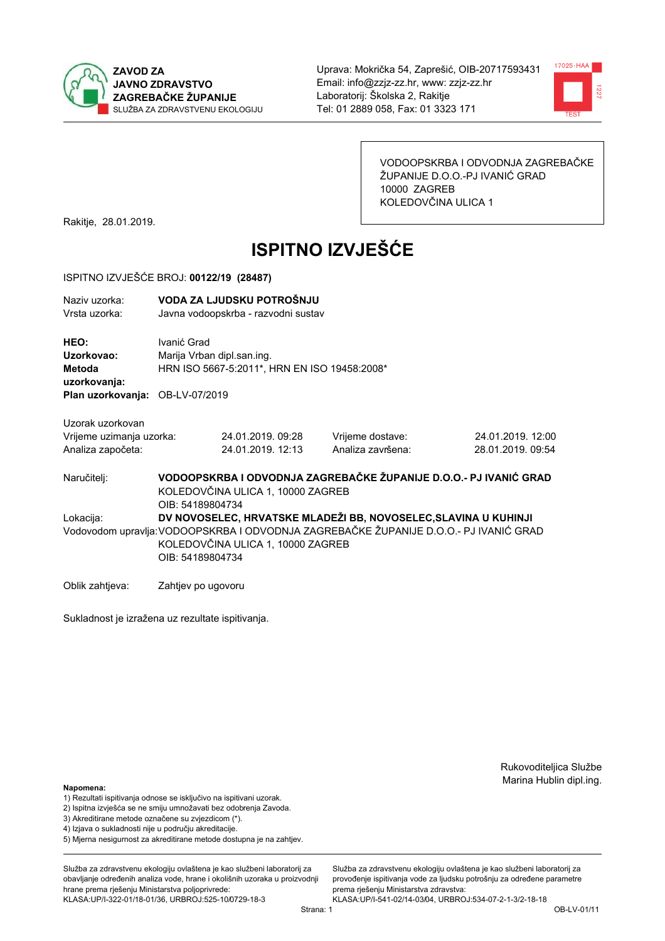



VODOOPSKRBA I ODVODNJA ZAGREBAČKE ŽUPANIJE D.O.O.-PJ IVANIĆ GRAD 10000 ZAGREB KOLEDOVČINA ULICA 1

Rakitje, 28.01.2019.

# **ISPITNO IZVJEŠĆE**

#### ISPITNO IZVJEŠĆE BROJ: 00122/19 (28487)

| Naziv uzorka:<br>Vrsta uzorka:  | VODA ZA LJUDSKU POTROŠNJU<br>Javna vodoopskrba - razvodni sustav |
|---------------------------------|------------------------------------------------------------------|
| HEO:                            | Ivanić Grad                                                      |
| Uzorkovao:                      | Marija Vrban dipl.san.ing.                                       |
| Metoda                          | HRN ISO 5667-5:2011*, HRN EN ISO 19458:2008*                     |
| uzorkovanja:                    |                                                                  |
| Plan uzorkovanja: OB-LV-07/2019 |                                                                  |

Uzorak uzorkovan Vrijeme uzimanja uzorka:

| Vrijeme uzimanja uzorka: | 24.01.2019. 09:28 |  |
|--------------------------|-------------------|--|
| Analiza započeta:        | 24.01.2019. 12:13 |  |

Vrijeme dostave: Analiza završena:

24.01.2019.12:00 28.01.2019.09:54

VODOOPSKRBA I ODVODNJA ZAGREBAČKE ŽUPANIJE D.O.O.- PJ IVANIĆ GRAD Naručitelj: KOLEDOVČINA ULICA 1, 10000 ZAGREB OIB: 54189804734 Lokacija: DV NOVOSELEC, HRVATSKE MLADEŽI BB. NOVOSELEC, SLAVINA U KUHINJI Vodovodom upravlja: VODOOPSKRBA I ODVODNJA ZAGREBAČKE ŽUPANIJE D.O.O.- PJ IVANIĆ GRAD KOLEDOVČINA ULICA 1, 10000 ZAGREB OIB: 54189804734

Oblik zahtjeva: Zahtjev po ugovoru

Sukladnost je izražena uz rezultate ispitivanja.

Rukovoditeljica Službe Marina Hublin dipl.ing.

#### Napomena:

- 1) Rezultati ispitivanja odnose se isključivo na ispitivani uzorak.
- 2) Ispitna izvješća se ne smiju umnožavati bez odobrenja Zavoda.

3) Akreditirane metode označene su zvjezdicom (\*).

- 4) Iziava o sukladnosti nije u području akreditacije.
- 5) Mjerna nesigurnost za akreditirane metode dostupna je na zahtjev.

Služba za zdravstvenu ekologiju ovlaštena je kao službeni laboratorij za obavlianie određenih analiza vode, hrane i okolišnih uzoraka u proizvodniji hrane prema rješenju Ministarstva poljoprivrede: KLASA:UP/I-322-01/18-01/36, URBROJ:525-10/0729-18-3

Služba za zdravstvenu ekologiju ovlaštena je kao službeni laboratorij za provođenie ispitivania vode za liudsku potrošniu za određene parametre prema riešenju Ministarstva zdravstva:

KLASA:UP/I-541-02/14-03/04, URBROJ:534-07-2-1-3/2-18-18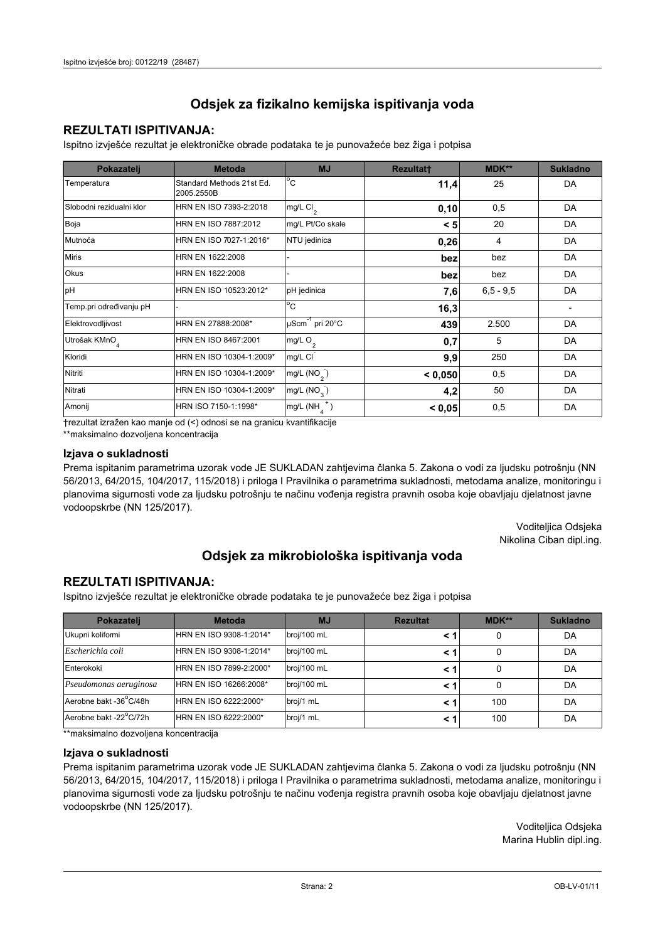## **REZULTATI ISPITIVANJA:**

Ispitno izviešće rezultat je elektroničke obrade podataka te je punovažeće bez žiga i potpisa

| Pokazatelj                | <b>Metoda</b>                           | <b>MJ</b>                   | <b>Rezultatt</b> | <b>MDK**</b>  | <b>Sukladno</b> |
|---------------------------|-----------------------------------------|-----------------------------|------------------|---------------|-----------------|
| Temperatura               | Standard Methods 21st Ed.<br>2005.2550B | $^{\circ}$ C                | 11,4             | 25            | DA              |
| Slobodni rezidualni klor  | HRN EN ISO 7393-2:2018                  | mg/L Cl <sub>2</sub>        | 0,10             | 0,5           | DA              |
| Boja                      | HRN EN ISO 7887:2012                    | mg/L Pt/Co skale            | < 5              | 20            | DA              |
| Mutnoća                   | HRN EN ISO 7027-1:2016*                 | NTU jedinica                | 0,26             | 4             | DA              |
| <b>Miris</b>              | HRN EN 1622:2008                        |                             | bez              | bez           | DA              |
| <b>Okus</b>               | HRN EN 1622:2008                        |                             | bez              | bez           | DA              |
| pH                        | HRN EN ISO 10523:2012*                  | pH jedinica                 | 7,6              | $6, 5 - 9, 5$ | DA              |
| Temp.pri određivanju pH   |                                         | $\overline{C}$              | 16,3             |               |                 |
| Elektrovodljivost         | HRN EN 27888:2008*                      | µScm <sup>-1</sup> pri 20°C | 439              | 2.500         | DA              |
| Utrošak KMnO <sub>4</sub> | HRN EN ISO 8467:2001                    | mg/L O <sub>2</sub>         | 0,7              | 5             | DA              |
| Kloridi                   | HRN EN ISO 10304-1:2009*                | mg/L CI                     | 9,9              | 250           | DA              |
| Nitriti                   | HRN EN ISO 10304-1:2009*                | mg/L $(NO2)$                | < 0,050          | 0,5           | DA              |
| Nitrati                   | HRN EN ISO 10304-1:2009*                | mg/L (NO <sub>3</sub> )     | 4,2              | 50            | DA              |
| Amonij                    | HRN ISO 7150-1:1998*                    | mg/L (NH                    | < 0,05           | 0,5           | DA              |

trezultat izražen kao manje od (<) odnosi se na granicu kvantifikacije

\*\*maksimalno dozvoljena koncentracija

#### Izjava o sukladnosti

Prema ispitanim parametrima uzorak vode JE SUKLADAN zahtievima članka 5. Zakona o vodi za ljudsku potrošnju (NN 56/2013, 64/2015, 104/2017, 115/2018) i priloga I Pravilnika o parametrima sukladnosti, metodama analize, monitoringu i planovima sigurnosti vode za ljudsku potrošnju te načinu vođenja registra pravnih osoba koje obavljaju djelatnost javne vodoopskrbe (NN 125/2017).

> Voditeljica Odsjeka Nikolina Ciban dipl.ing.

## Odsjek za mikrobiološka ispitivanja voda

### **REZULTATI ISPITIVANJA:**

Ispitno izvješće rezultat je elektroničke obrade podataka te je punovažeće bez žiga i potpisa

| Pokazatelj             | <b>Metoda</b>           | <b>MJ</b>   | <b>Rezultat</b> | <b>MDK**</b> | <b>Sukladno</b> |
|------------------------|-------------------------|-------------|-----------------|--------------|-----------------|
| Ukupni kolifomi        | HRN EN ISO 9308-1:2014* | broj/100 mL |                 | 0            | DA              |
| Escherichia coli       | HRN EN ISO 9308-1:2014* | broj/100 mL | < 1             | 0            | DA              |
| Enterokoki             | HRN EN ISO 7899-2:2000* | broj/100 mL | < '             |              | DA              |
| Pseudomonas aeruginosa | HRN EN ISO 16266:2008*  | broj/100 mL | < 1             | 0            | DA              |
| Aerobne bakt -36 C/48h | HRN EN ISO 6222:2000*   | broj/1 mL   | < '             | 100          | DA              |
| Aerobne bakt -22°C/72h | HRN EN ISO 6222:2000*   | broj/1 mL   | < 1             | 100          | DA              |

\*\* maksimalno dozvoljena koncentracija

#### Izjava o sukladnosti

Prema ispitanim parametrima uzorak vode JE SUKLADAN zahtjevima članka 5. Zakona o vodi za ljudsku potrošnju (NN 56/2013, 64/2015, 104/2017, 115/2018) i priloga I Pravilnika o parametrima sukladnosti, metodama analize, monitoringu i planovima sigurnosti vode za ljudsku potrošnju te načinu vođenja registra pravnih osoba koje obavljaju djelatnost javne vodoopskrbe (NN 125/2017).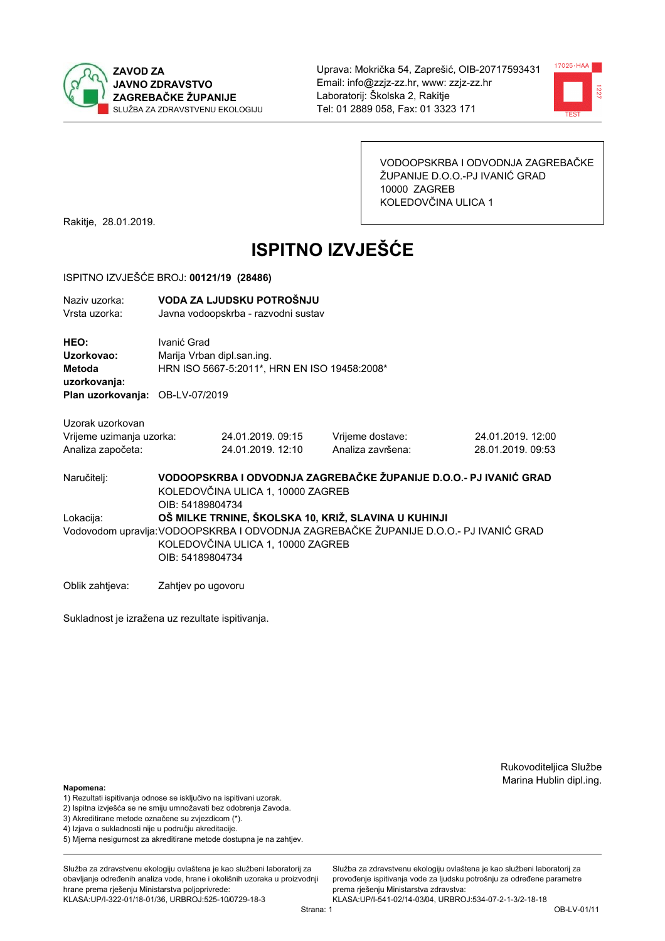



VODOOPSKRBA I ODVODNJA ZAGREBAČKE ŽUPANIJE D.O.O.-PJ IVANIĆ GRAD 10000 ZAGREB KOLEDOVČINA ULICA 1

Rakitje, 28.01.2019.

# **ISPITNO IZVJEŠĆE**

#### ISPITNO IZVJEŠĆE BROJ: 00121/19 (28486)

| Naziy uzorka:<br>Vrsta uzorka:                                                  |                    | VODA ZA LJUDSKU POTROŠNJU<br>Javna vodoopskrba - razvodni sustav           |                                                                                       |                                                                   |  |
|---------------------------------------------------------------------------------|--------------------|----------------------------------------------------------------------------|---------------------------------------------------------------------------------------|-------------------------------------------------------------------|--|
| HEO:<br>Uzorkovao:<br>Metoda<br>uzorkovanja:<br>Plan uzorkovanja: OB-LV-07/2019 | Ivanić Grad        | Marija Vrban dipl.san.ing.<br>HRN ISO 5667-5:2011*, HRN EN ISO 19458:2008* |                                                                                       |                                                                   |  |
|                                                                                 |                    |                                                                            |                                                                                       |                                                                   |  |
| Uzorak uzorkovan<br>Vrijeme uzimanja uzorka:<br>Analiza započeta:               |                    | 24.01.2019.09:15<br>24.01.2019. 12:10                                      | Vrijeme dostave:<br>Analiza završena:                                                 | 24.01.2019. 12:00<br>28.01.2019. 09:53                            |  |
| Naručitelj:                                                                     | OIB: 54189804734   | KOLEDOVČINA ULICA 1, 10000 ZAGREB                                          |                                                                                       | VODOOPSKRBA I ODVODNJA ZAGREBAČKE ŽUPANIJE D.O.O.- PJ IVANIĆ GRAD |  |
| Lokacija:                                                                       |                    |                                                                            | OŠ MILKE TRNINE, ŠKOLSKA 10, KRIŽ, SLAVINA U KUHINJI                                  |                                                                   |  |
|                                                                                 | OIB: 54189804734   | KOLEDOVČINA ULICA 1, 10000 ZAGREB                                          | Vodovodom upravlja: VODOOPSKRBA I ODVODNJA ZAGREBAČKE ŽUPANIJE D.O.O.- PJ IVANIĆ GRAD |                                                                   |  |
| Oblik zahtjeva:                                                                 | Zahtjev po ugovoru |                                                                            |                                                                                       |                                                                   |  |

Sukladnost je izražena uz rezultate ispitivanja.

Rukovoditeljica Službe Marina Hublin dipl.ing.

#### Napomena:

- 1) Rezultati ispitivanja odnose se isključivo na ispitivani uzorak.
- 2) Ispitna izvješća se ne smiju umnožavati bez odobrenja Zavoda.
- 3) Akreditirane metode označene su zvjezdicom (\*).
- 4) Iziava o sukladnosti nije u području akreditacije.
- 5) Mjerna nesigurnost za akreditirane metode dostupna je na zahtjev.

Služba za zdravstvenu ekologiju ovlaštena je kao službeni laboratorij za obavlianie određenih analiza vode, hrane i okolišnih uzoraka u proizvodniji hrane prema rješenju Ministarstva poljoprivrede: KLASA:UP/I-322-01/18-01/36, URBROJ:525-10/0729-18-3

Služba za zdravstvenu ekologiju ovlaštena je kao službeni laboratorij za provođenie ispitivania vode za liudsku potrošniu za određene parametre prema rješenju Ministarstva zdravstva: KLASA:UP/I-541-02/14-03/04, URBROJ:534-07-2-1-3/2-18-18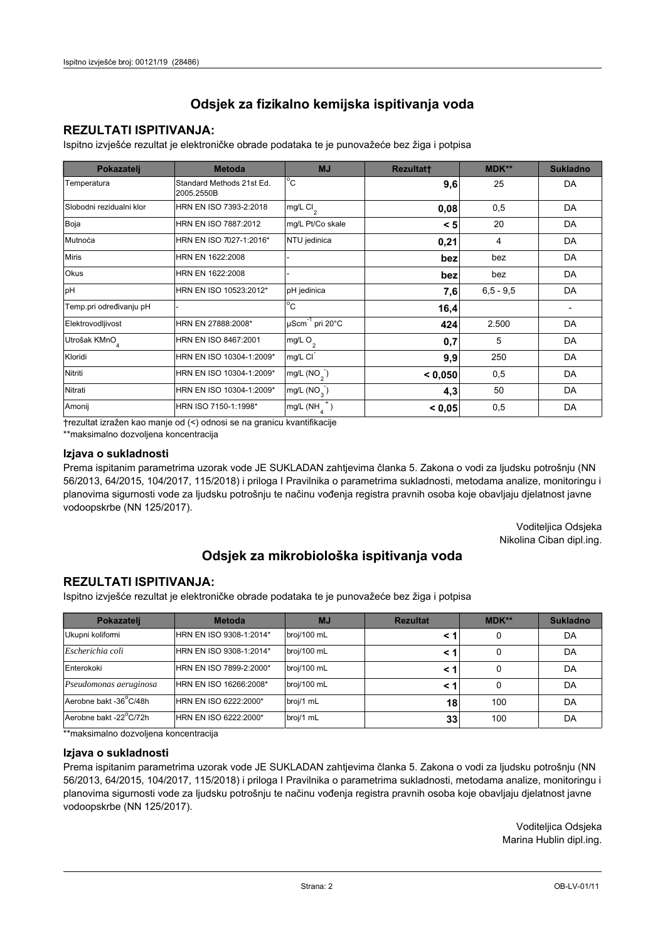## **REZULTATI ISPITIVANJA:**

Ispitno izviešće rezultat je elektroničke obrade podataka te je punovažeće bez žiga i potpisa

| Pokazatelj                | <b>Metoda</b>                           | <b>MJ</b>               | <b>Rezultatt</b> | <b>MDK**</b>  | <b>Sukladno</b> |
|---------------------------|-----------------------------------------|-------------------------|------------------|---------------|-----------------|
| Temperatura               | Standard Methods 21st Ed.<br>2005.2550B | $^{\circ}$ C            | 9,6              | 25            | DA              |
| Slobodni rezidualni klor  | HRN EN ISO 7393-2:2018                  | $mg/L$ Cl <sub>2</sub>  | 0,08             | 0,5           | DA              |
| Boja                      | HRN EN ISO 7887:2012                    | mg/L Pt/Co skale        | < 5              | 20            | DA              |
| Mutnoća                   | HRN EN ISO 7027-1:2016*                 | NTU jedinica            | 0,21             | 4             | DA              |
| <b>Miris</b>              | HRN EN 1622:2008                        |                         | bez              | bez           | DA              |
| Okus                      | HRN EN 1622:2008                        |                         | bez              | bez           | DA              |
| pH                        | HRN EN ISO 10523:2012*                  | pH jedinica             | 7,6              | $6, 5 - 9, 5$ | DA              |
| Temp.pri određivanju pH   |                                         | $^{\circ}$ C            | 16,4             |               |                 |
| Elektrovodljivost         | HRN EN 27888:2008*                      | µScm-1 pri 20°C         | 424              | 2.500         | DA              |
| Utrošak KMnO <sub>4</sub> | HRN EN ISO 8467:2001                    | mg/L O <sub>2</sub>     | 0,7              | 5             | DA              |
| Kloridi                   | HRN EN ISO 10304-1:2009*                | mg/L CI                 | 9,9              | 250           | DA              |
| Nitriti                   | HRN EN ISO 10304-1:2009*                | mg/L $(NO2)$            | < 0.050          | 0,5           | DA              |
| Nitrati                   | HRN EN ISO 10304-1:2009*                | mg/L (NO <sub>3</sub> ) | 4,3              | 50            | DA              |
| Amonij                    | HRN ISO 7150-1:1998*                    | mg/L (NH                | < 0,05           | 0,5           | DA              |

trezultat izražen kao manje od (<) odnosi se na granicu kvantifikacije

\*\*maksimalno dozvoljena koncentracija

#### Izjava o sukladnosti

Prema ispitanim parametrima uzorak vode JE SUKLADAN zahtievima članka 5. Zakona o vodi za ljudsku potrošnju (NN 56/2013, 64/2015, 104/2017, 115/2018) i priloga I Pravilnika o parametrima sukladnosti, metodama analize, monitoringu i planovima sigurnosti vode za ljudsku potrošnju te načinu vođenja registra pravnih osoba koje obavljaju djelatnost javne vodoopskrbe (NN 125/2017).

> Voditeljica Odsjeka Nikolina Ciban dipl.ing.

## Odsjek za mikrobiološka ispitivanja voda

### **REZULTATI ISPITIVANJA:**

Ispitno izvješće rezultat je elektroničke obrade podataka te je punovažeće bez žiga i potpisa

| Pokazatelj             | <b>Metoda</b>           | <b>MJ</b>   | <b>Rezultat</b> | <b>MDK**</b> | <b>Sukladno</b> |
|------------------------|-------------------------|-------------|-----------------|--------------|-----------------|
| Ukupni kolifomi        | HRN EN ISO 9308-1:2014* | broj/100 mL |                 | 0            | DA              |
| Escherichia coli       | HRN EN ISO 9308-1:2014* | broj/100 mL | < 1             | 0            | DA              |
| Enterokoki             | HRN EN ISO 7899-2:2000* | broj/100 mL | < 1             | 0            | DA              |
| Pseudomonas aeruginosa | HRN EN ISO 16266:2008*  | broj/100 mL | < 1             | 0            | DA              |
| Aerobne bakt -36 C/48h | HRN EN ISO 6222:2000*   | broj/1 mL   | 18              | 100          | DA              |
| Aerobne bakt -22°C/72h | HRN EN ISO 6222:2000*   | broj/1 mL   | 33 <sub>1</sub> | 100          | DA              |

\*\* maksimalno dozvoljena koncentracija

#### Izjava o sukladnosti

Prema ispitanim parametrima uzorak vode JE SUKLADAN zahtjevima članka 5. Zakona o vodi za ljudsku potrošnju (NN 56/2013, 64/2015, 104/2017, 115/2018) i priloga I Pravilnika o parametrima sukladnosti, metodama analize, monitoringu i planovima sigurnosti vode za ljudsku potrošnju te načinu vođenja registra pravnih osoba koje obavljaju djelatnost javne vodoopskrbe (NN 125/2017).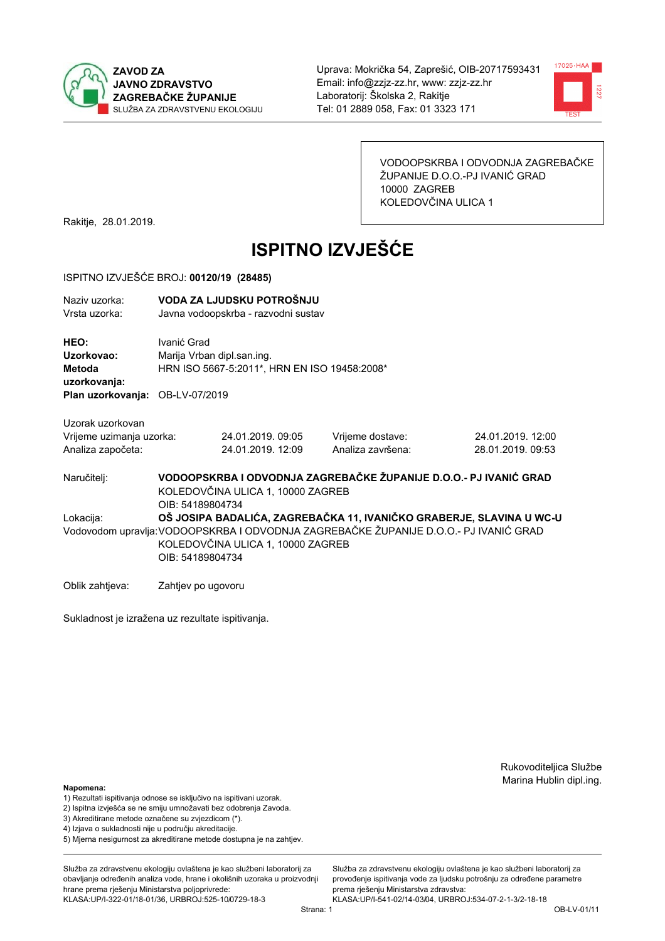



VODOOPSKRBA I ODVODNJA ZAGREBAČKE ŽUPANIJE D.O.O.-PJ IVANIĆ GRAD 10000 ZAGREB KOLEDOVČINA ULICA 1

Rakitje, 28.01.2019.

# **ISPITNO IZVJEŠĆE**

#### ISPITNO IZVJEŠĆE BROJ: 00120/19 (28485)

| Naziy uzorka:<br>Vrsta uzorka:                                                  |                    | VODA ZA LJUDSKU POTROŠNJU<br>Javna vodoopskrba - razvodni sustav                                                                                                                                                       |                                                                   |                                        |  |  |
|---------------------------------------------------------------------------------|--------------------|------------------------------------------------------------------------------------------------------------------------------------------------------------------------------------------------------------------------|-------------------------------------------------------------------|----------------------------------------|--|--|
| HEO:<br>Uzorkovao:<br>Metoda<br>uzorkovanja:<br>Plan uzorkovanja: OB-LV-07/2019 | Ivanić Grad        | Marija Vrban dipl.san.ing.<br>HRN ISO 5667-5:2011*, HRN EN ISO 19458:2008*                                                                                                                                             |                                                                   |                                        |  |  |
|                                                                                 |                    |                                                                                                                                                                                                                        |                                                                   |                                        |  |  |
| Uzorak uzorkovan<br>Vrijeme uzimanja uzorka:<br>Analiza započeta:               |                    | 24.01.2019, 09:05<br>24.01.2019. 12:09                                                                                                                                                                                 | Vrijeme dostave:<br>Analiza završena:                             | 24.01.2019. 12:00<br>28.01.2019. 09:53 |  |  |
| Naručitelj:                                                                     | OIB: 54189804734   | KOLEDOVČINA ULICA 1, 10000 ZAGREB                                                                                                                                                                                      | VODOOPSKRBA I ODVODNJA ZAGREBAČKE ŽUPANIJE D.O.O.- PJ IVANIĆ GRAD |                                        |  |  |
| Lokacija:                                                                       |                    | OŠ JOSIPA BADALIĆA, ZAGREBAČKA 11, IVANIČKO GRABERJE, SLAVINA U WC-U<br>Vodovodom upravlja: VODOOPSKRBA I ODVODNJA ZAGREBAČKE ŽUPANIJE D.O.O.- PJ IVANIĆ GRAD<br>KOLEDOVČINA ULICA 1, 10000 ZAGREB<br>OIB: 54189804734 |                                                                   |                                        |  |  |
| Oblik zahtjeva:                                                                 | Zahtjev po ugovoru |                                                                                                                                                                                                                        |                                                                   |                                        |  |  |

Sukladnost je izražena uz rezultate ispitivanja.

Rukovoditeljica Službe Marina Hublin dipl.ing.

#### Napomena:

- 1) Rezultati ispitivanja odnose se isključivo na ispitivani uzorak.
- 2) Ispitna izvješća se ne smiju umnožavati bez odobrenja Zavoda.
- 3) Akreditirane metode označene su zvjezdicom (\*).
- 4) Iziava o sukladnosti nije u područiu akreditacije.
- 5) Mjerna nesigurnost za akreditirane metode dostupna je na zahtjev.

Služba za zdravstvenu ekologiju ovlaštena je kao službeni laboratorij za obavljanje određenih analiza vode, hrane i okolišnih uzoraka u proizvodniji hrane prema rješenju Ministarstva poljoprivrede: KLASA:UP/I-322-01/18-01/36, URBROJ:525-10/0729-18-3

Služba za zdravstvenu ekologiju ovlaštena je kao službeni laboratorij za provođenie ispitivania vode za liudsku potrošniu za određene parametre prema rješenju Ministarstva zdravstva: KLASA:UP/I-541-02/14-03/04, URBROJ:534-07-2-1-3/2-18-18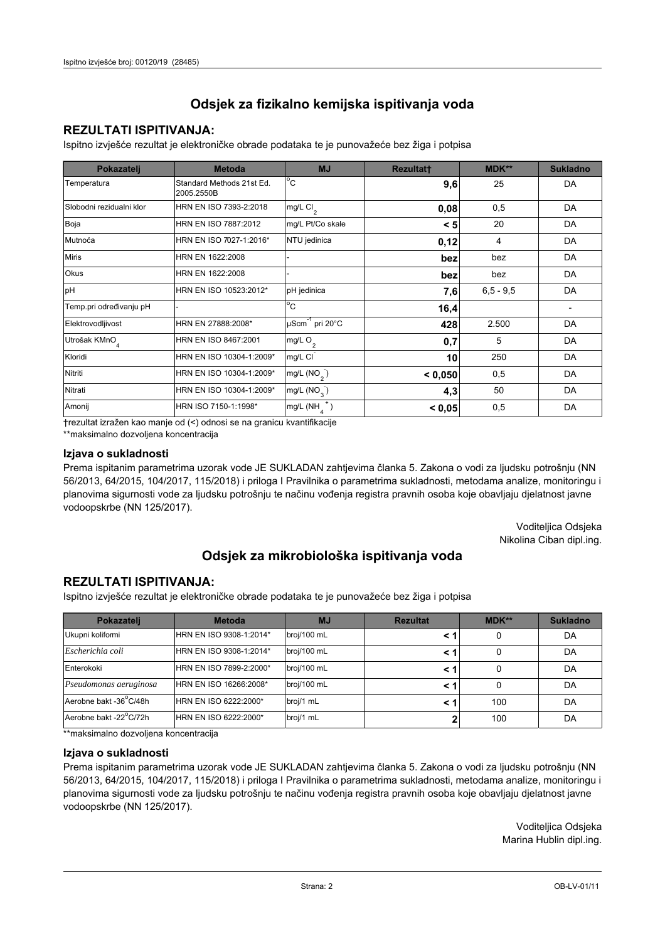## **REZULTATI ISPITIVANJA:**

Ispitno izviešće rezultat je elektroničke obrade podataka te je punovažeće bez žiga i potpisa

| Pokazatelj                | <b>Metoda</b>                           | <b>MJ</b>                   | <b>Rezultatt</b> | <b>MDK**</b>  | <b>Sukladno</b> |
|---------------------------|-----------------------------------------|-----------------------------|------------------|---------------|-----------------|
| Temperatura               | Standard Methods 21st Ed.<br>2005.2550B | $^{\circ}$ C                | 9,6              | 25            | DA              |
| Slobodni rezidualni klor  | HRN EN ISO 7393-2:2018                  | mg/L Cl <sub>2</sub>        | 0,08             | 0,5           | DA              |
| Boja                      | HRN EN ISO 7887:2012                    | mg/L Pt/Co skale            | < 5              | 20            | DA              |
| Mutnoća                   | HRN EN ISO 7027-1:2016*                 | NTU jedinica                | 0,12             | 4             | DA              |
| <b>Miris</b>              | HRN EN 1622:2008                        |                             | bez              | bez           | DA              |
| <b>Okus</b>               | HRN EN 1622:2008                        |                             | bez              | bez           | DA              |
| pH                        | HRN EN ISO 10523:2012*                  | pH jedinica                 | 7,6              | $6, 5 - 9, 5$ | DA              |
| Temp.pri određivanju pH   |                                         | $\overline{C}$              | 16,4             |               |                 |
| Elektrovodljivost         | HRN EN 27888:2008*                      | µScm <sup>-1</sup> pri 20°C | 428              | 2.500         | DA              |
| Utrošak KMnO <sub>4</sub> | HRN EN ISO 8467:2001                    | mg/L O <sub>2</sub>         | 0,7              | 5             | DA              |
| Kloridi                   | HRN EN ISO 10304-1:2009*                | mg/L CI                     | 10               | 250           | DA              |
| Nitriti                   | HRN EN ISO 10304-1:2009*                | mg/L $(NO2)$                | < 0,050          | 0,5           | DA              |
| Nitrati                   | HRN EN ISO 10304-1:2009*                | mg/L (NO <sub>3</sub> )     | 4,3              | 50            | DA              |
| Amonij                    | HRN ISO 7150-1:1998*                    | mg/L (NH                    | < 0,05           | 0,5           | DA              |

trezultat izražen kao manje od (<) odnosi se na granicu kvantifikacije

\*\*maksimalno dozvoljena koncentracija

#### Izjava o sukladnosti

Prema ispitanim parametrima uzorak vode JE SUKLADAN zahtievima članka 5. Zakona o vodi za ljudsku potrošnju (NN 56/2013, 64/2015, 104/2017, 115/2018) i priloga I Pravilnika o parametrima sukladnosti, metodama analize, monitoringu i planovima sigurnosti vode za ljudsku potrošnju te načinu vođenja registra pravnih osoba koje obavljaju djelatnost javne vodoopskrbe (NN 125/2017).

> Voditeljica Odsjeka Nikolina Ciban dipl.ing.

# Odsjek za mikrobiološka ispitivanja voda

### **REZULTATI ISPITIVANJA:**

Ispitno izvješće rezultat je elektroničke obrade podataka te je punovažeće bez žiga i potpisa

| Pokazatelj             | <b>Metoda</b>           | <b>MJ</b>   | <b>Rezultat</b> | <b>MDK**</b> | <b>Sukladno</b> |
|------------------------|-------------------------|-------------|-----------------|--------------|-----------------|
| Ukupni kolifomi        | HRN EN ISO 9308-1:2014* | broj/100 mL |                 | 0            | DA              |
| Escherichia coli       | HRN EN ISO 9308-1:2014* | broj/100 mL | < 1             | 0            | DA              |
| Enterokoki             | HRN EN ISO 7899-2:2000* | broj/100 mL | < '             |              | DA              |
| Pseudomonas aeruginosa | HRN EN ISO 16266:2008*  | broj/100 mL | < 1             | 0            | DA              |
| Aerobne bakt -36 C/48h | HRN EN ISO 6222:2000*   | broj/1 mL   |                 | 100          | DA              |
| Aerobne bakt -22°C/72h | HRN EN ISO 6222:2000*   | broj/1 mL   |                 | 100          | DA              |

\*\* maksimalno dozvoljena koncentracija

#### Izjava o sukladnosti

Prema ispitanim parametrima uzorak vode JE SUKLADAN zahtjevima članka 5. Zakona o vodi za ljudsku potrošnju (NN 56/2013, 64/2015, 104/2017, 115/2018) i priloga I Pravilnika o parametrima sukladnosti, metodama analize, monitoringu i planovima sigurnosti vode za ljudsku potrošnju te načinu vođenja registra pravnih osoba koje obavljaju djelatnost javne vodoopskrbe (NN 125/2017).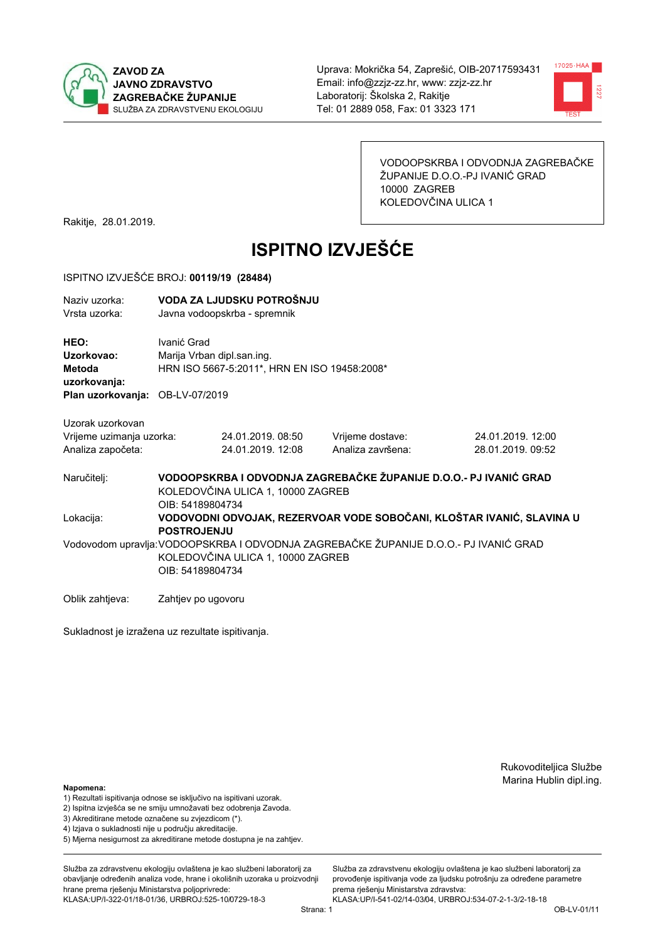



VODOOPSKRBA I ODVODNJA ZAGREBAČKE ŽUPANIJE D.O.O.-PJ IVANIĆ GRAD 10000 ZAGREB KOLEDOVČINA ULICA 1

Rakitje, 28.01.2019.

# **ISPITNO IZVJEŠĆE**

#### ISPITNO IZVJEŠĆE BROJ: 00119/19 (28484)

| Naziv uzorka:<br>Vrsta uzorka:                                    | VODA ZA LJUDSKU POTROŠNJU<br>Javna vodoopskrba - spremnik |                                                                            |                                                                                      |                                                                       |  |  |
|-------------------------------------------------------------------|-----------------------------------------------------------|----------------------------------------------------------------------------|--------------------------------------------------------------------------------------|-----------------------------------------------------------------------|--|--|
| HEO:<br>Uzorkovao:<br>Metoda<br>uzorkovanja:                      | Ivanić Grad                                               | Marija Vrban dipl.san.ing.<br>HRN ISO 5667-5:2011*, HRN EN ISO 19458:2008* |                                                                                      |                                                                       |  |  |
| Plan uzorkovanja: OB-LV-07/2019                                   |                                                           |                                                                            |                                                                                      |                                                                       |  |  |
| Uzorak uzorkovan<br>Vrijeme uzimanja uzorka:<br>Analiza započeta: |                                                           | 24.01.2019. 08:50<br>24.01.2019. 12:08                                     | Vrijeme dostave:<br>Analiza završena:                                                | 24.01.2019. 12:00<br>28.01.2019.09:52                                 |  |  |
| Naručitelj:                                                       | OIB: 54189804734                                          | KOLEDOVČINA ULICA 1, 10000 ZAGREB                                          | VODOOPSKRBA I ODVODNJA ZAGREBAČKE ŽUPANIJE D.O.O.- PJ IVANIĆ GRAD                    |                                                                       |  |  |
| Lokacija:                                                         | <b>POSTROJENJU</b>                                        |                                                                            |                                                                                      | VODOVODNI ODVOJAK, REZERVOAR VODE SOBOČANI, KLOŠTAR IVANIĆ, SLAVINA U |  |  |
|                                                                   | OIB: 54189804734                                          | KOLEDOVČINA ULICA 1, 10000 ZAGREB                                          | Vodovodom upravlja:VODOOPSKRBA I ODVODNJA ZAGREBAČKE ŽUPANIJE D.O.O.- PJ IVANIĆ GRAD |                                                                       |  |  |
| Oblik zahtjeva:                                                   | Zahtjev po ugovoru                                        |                                                                            |                                                                                      |                                                                       |  |  |

Sukladnost je izražena uz rezultate ispitivanja.

Rukovoditeljica Službe Marina Hublin dipl.ing.

#### Napomena:

- 1) Rezultati ispitivanja odnose se isključivo na ispitivani uzorak.
- 2) Ispitna izvješća se ne smiju umnožavati bez odobrenja Zavoda.
- 3) Akreditirane metode označene su zvjezdicom (\*).
- 4) Iziava o sukladnosti nije u području akreditacije.
- 5) Mjerna nesigurnost za akreditirane metode dostupna je na zahtjev.

Služba za zdravstvenu ekologiju ovlaštena je kao službeni laboratorij za obavlianie određenih analiza vode, hrane i okolišnih uzoraka u proizvodniji hrane prema rješenju Ministarstva poljoprivrede: KLASA:UP/I-322-01/18-01/36, URBROJ:525-10/0729-18-3

Služba za zdravstvenu ekologiju ovlaštena je kao službeni laboratorij za provođenie ispitivania vode za liudsku potrošniu za određene parametre prema rješenju Ministarstva zdravstva: KLASA:UP/I-541-02/14-03/04, URBROJ:534-07-2-1-3/2-18-18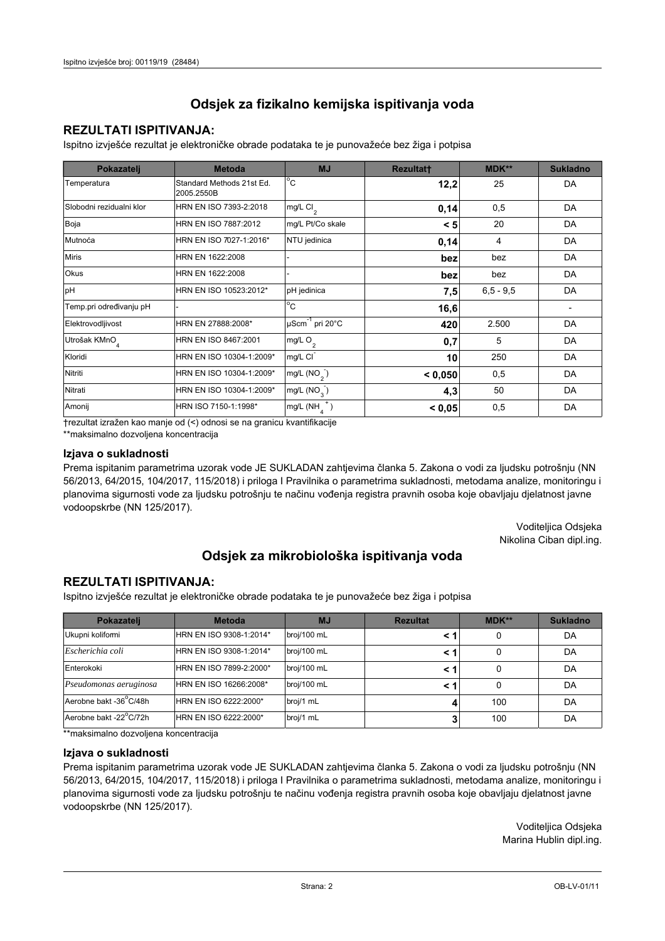## **REZULTATI ISPITIVANJA:**

Ispitno izviešće rezultat je elektroničke obrade podataka te je punovažeće bez žiga i potpisa

| Pokazatelj                | <b>Metoda</b>                           | <b>MJ</b>                   | <b>Rezultatt</b> | <b>MDK**</b>  | <b>Sukladno</b> |
|---------------------------|-----------------------------------------|-----------------------------|------------------|---------------|-----------------|
| Temperatura               | Standard Methods 21st Ed.<br>2005.2550B | $^{\circ}$ C                | 12,2             | 25            | DA              |
| Slobodni rezidualni klor  | HRN EN ISO 7393-2:2018                  | mg/L Cl <sub>2</sub>        | 0,14             | 0,5           | DA              |
| Boja                      | HRN EN ISO 7887:2012                    | mg/L Pt/Co skale            | < 5              | 20            | DA              |
| Mutnoća                   | HRN EN ISO 7027-1:2016*                 | NTU jedinica                | 0,14             | 4             | DA              |
| <b>Miris</b>              | HRN EN 1622:2008                        |                             | bez              | bez           | DA              |
| <b>Okus</b>               | HRN EN 1622:2008                        |                             | bez              | bez           | DA              |
| pH                        | HRN EN ISO 10523:2012*                  | pH jedinica                 | 7,5              | $6, 5 - 9, 5$ | DA              |
| Temp.pri određivanju pH   |                                         | $\overline{C}$              | 16,6             |               |                 |
| Elektrovodljivost         | HRN EN 27888:2008*                      | µScm <sup>-1</sup> pri 20°C | 420              | 2.500         | DA              |
| Utrošak KMnO <sub>4</sub> | HRN EN ISO 8467:2001                    | mg/L O <sub>2</sub>         | 0,7              | 5             | DA              |
| Kloridi                   | HRN EN ISO 10304-1:2009*                | mg/L CI                     | 10               | 250           | DA              |
| Nitriti                   | HRN EN ISO 10304-1:2009*                | mg/L $(NO2)$                | < 0,050          | 0,5           | DA              |
| Nitrati                   | HRN EN ISO 10304-1:2009*                | mg/L (NO <sub>3</sub> )     | 4,3              | 50            | DA              |
| Amonij                    | HRN ISO 7150-1:1998*                    | mg/L (NH                    | < 0,05           | 0,5           | DA              |

trezultat izražen kao manje od (<) odnosi se na granicu kvantifikacije

\*\*maksimalno dozvoljena koncentracija

#### Izjava o sukladnosti

Prema ispitanim parametrima uzorak vode JE SUKLADAN zahtievima članka 5. Zakona o vodi za ljudsku potrošnju (NN 56/2013, 64/2015, 104/2017, 115/2018) i priloga I Pravilnika o parametrima sukladnosti, metodama analize, monitoringu i planovima sigurnosti vode za ljudsku potrošnju te načinu vođenja registra pravnih osoba koje obavljaju djelatnost javne vodoopskrbe (NN 125/2017).

> Voditeljica Odsjeka Nikolina Ciban dipl.ing.

# Odsjek za mikrobiološka ispitivanja voda

### **REZULTATI ISPITIVANJA:**

Ispitno izvješće rezultat je elektroničke obrade podataka te je punovažeće bez žiga i potpisa

| Pokazatelj             | <b>Metoda</b>           | <b>MJ</b>   | <b>Rezultat</b> | <b>MDK**</b> | <b>Sukladno</b> |
|------------------------|-------------------------|-------------|-----------------|--------------|-----------------|
| Ukupni kolifomi        | HRN EN ISO 9308-1:2014* | broj/100 mL |                 | 0            | DA              |
| Escherichia coli       | HRN EN ISO 9308-1:2014* | broj/100 mL | < 1             |              | DA              |
| Enterokoki             | HRN EN ISO 7899-2:2000* | broj/100 mL | < '             |              | DA              |
| Pseudomonas aeruginosa | HRN EN ISO 16266:2008*  | broj/100 mL | < 1             | 0            | DA              |
| Aerobne bakt -36 C/48h | HRN EN ISO 6222:2000*   | broj/1 mL   |                 | 100          | DA              |
| Aerobne bakt -22°C/72h | HRN EN ISO 6222:2000*   | broj/1 mL   |                 | 100          | DA              |

\*\* maksimalno dozvoljena koncentracija

#### Izjava o sukladnosti

Prema ispitanim parametrima uzorak vode JE SUKLADAN zahtjevima članka 5. Zakona o vodi za ljudsku potrošnju (NN 56/2013, 64/2015, 104/2017, 115/2018) i priloga I Pravilnika o parametrima sukladnosti, metodama analize, monitoringu i planovima sigurnosti vode za ljudsku potrošnju te načinu vođenja registra pravnih osoba koje obavljaju djelatnost javne vodoopskrbe (NN 125/2017).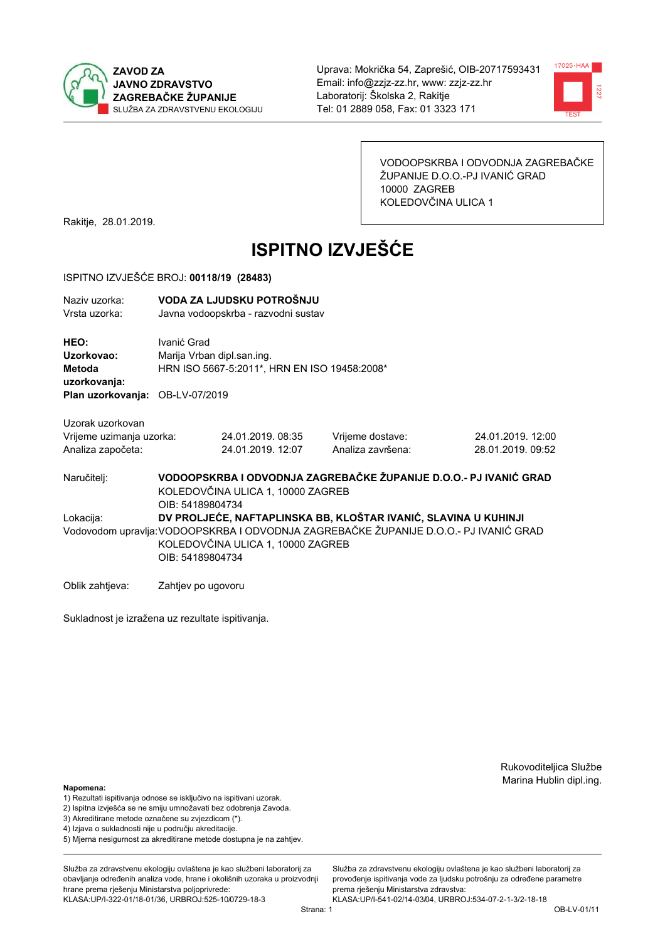



VODOOPSKRBA I ODVODNJA ZAGREBAČKE ŽUPANIJE D.O.O.-PJ IVANIĆ GRAD 10000 ZAGREB KOLEDOVČINA ULICA 1

Rakitje, 28.01.2019.

# **ISPITNO IZVJEŠĆE**

#### ISPITNO IZVJEŠĆE BROJ: 00118/19 (28483)

| Naziv uzorka:<br>Vrsta uzorka:                      |                                                                                                                            | VODA ZA LJUDSKU POTROŠNJU<br>Javna vodoopskrba - razvodni sustav |                                                                                      |                   |  |
|-----------------------------------------------------|----------------------------------------------------------------------------------------------------------------------------|------------------------------------------------------------------|--------------------------------------------------------------------------------------|-------------------|--|
| <b>HEO:</b><br>Uzorkovao:<br>Metoda<br>uzorkovanja: | Ivanić Grad<br>Marija Vrban dipl.san.ing.<br>HRN ISO 5667-5:2011*, HRN EN ISO 19458:2008*                                  |                                                                  |                                                                                      |                   |  |
| Plan uzorkovanja: OB-LV-07/2019                     |                                                                                                                            |                                                                  |                                                                                      |                   |  |
| Uzorak uzorkovan                                    |                                                                                                                            |                                                                  |                                                                                      |                   |  |
| Vrijeme uzimanja uzorka:                            |                                                                                                                            | 24.01.2019.08:35                                                 | Vrijeme dostave:                                                                     | 24.01.2019. 12:00 |  |
| Analiza započeta:                                   |                                                                                                                            | 24.01.2019. 12:07                                                | Analiza završena:                                                                    | 28.01.2019. 09:52 |  |
| Naručitelj:                                         | VODOOPSKRBA I ODVODNJA ZAGREBAČKE ŽUPANIJE D.O.O.- PJ IVANIĆ GRAD<br>KOLEDOVČINA ULICA 1, 10000 ZAGREB<br>OIB: 54189804734 |                                                                  |                                                                                      |                   |  |
| Lokacija:                                           |                                                                                                                            |                                                                  | DV PROLJEĆE, NAFTAPLINSKA BB, KLOŠTAR IVANIĆ, SLAVINA U KUHINJI                      |                   |  |
|                                                     | OIB: 54189804734                                                                                                           | KOLEDOVČINA ULICA 1, 10000 ZAGREB                                | Vodovodom upravlja:VODOOPSKRBA I ODVODNJA ZAGREBAČKE ŽUPANIJE D.O.O.- PJ IVANIĆ GRAD |                   |  |

Oblik zahtjeva: Zahtjev po ugovoru

Sukladnost je izražena uz rezultate ispitivanja.

Rukovoditeljica Službe Marina Hublin dipl.ing.

#### Napomena:

- 1) Rezultati ispitivanja odnose se isključivo na ispitivani uzorak.
- 2) Ispitna izvješća se ne smiju umnožavati bez odobrenja Zavoda.
- 3) Akreditirane metode označene su zvjezdicom (\*).
- 4) Iziava o sukladnosti nije u području akreditacije.
- 5) Mjerna nesigurnost za akreditirane metode dostupna je na zahtjev.

Služba za zdravstvenu ekologiju ovlaštena je kao službeni laboratorij za obavlianie određenih analiza vode, hrane i okolišnih uzoraka u proizvodniji hrane prema rješenju Ministarstva poljoprivrede: KLASA:UP/I-322-01/18-01/36, URBROJ:525-10/0729-18-3

Služba za zdravstvenu ekologiju ovlaštena je kao službeni laboratorij za provođenie ispitivania vode za liudsku potrošniu za određene parametre prema rješenju Ministarstva zdravstva: KLASA:UP/I-541-02/14-03/04, URBROJ:534-07-2-1-3/2-18-18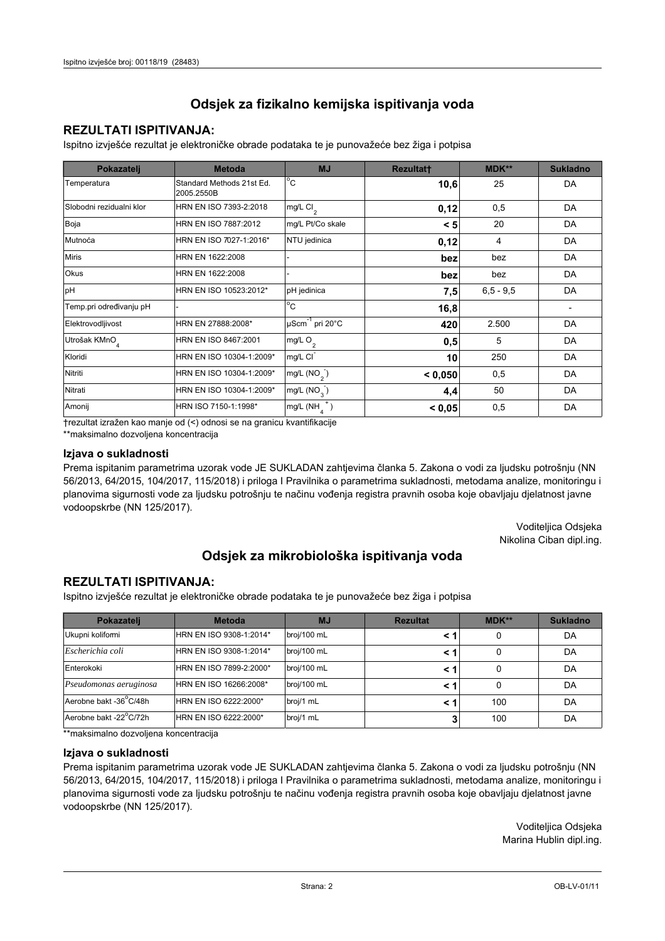## **REZULTATI ISPITIVANJA:**

Ispitno izviešće rezultat je elektroničke obrade podataka te je punovažeće bez žiga i potpisa

| Pokazatelj                | <b>Metoda</b>                           | <b>MJ</b>                   | <b>Rezultatt</b> | <b>MDK**</b>  | <b>Sukladno</b> |
|---------------------------|-----------------------------------------|-----------------------------|------------------|---------------|-----------------|
| Temperatura               | Standard Methods 21st Ed.<br>2005.2550B | $^{\circ}$ C                | 10,6             | 25            | DA              |
| Slobodni rezidualni klor  | HRN EN ISO 7393-2:2018                  | mg/L Cl <sub>2</sub>        | 0,12             | 0,5           | DA              |
| Boja                      | HRN EN ISO 7887:2012                    | mg/L Pt/Co skale            | < 5              | 20            | DA              |
| Mutnoća                   | HRN EN ISO 7027-1:2016*                 | NTU jedinica                | 0,12             | 4             | DA              |
| <b>Miris</b>              | HRN EN 1622:2008                        |                             | bez              | bez           | DA              |
| <b>Okus</b>               | HRN EN 1622:2008                        |                             | bez              | bez           | DA              |
| pH                        | HRN EN ISO 10523:2012*                  | pH jedinica                 | 7,5              | $6, 5 - 9, 5$ | DA              |
| Temp.pri određivanju pH   |                                         | $\overline{C}$              | 16,8             |               |                 |
| Elektrovodljivost         | HRN EN 27888:2008*                      | µScm <sup>-1</sup> pri 20°C | 420              | 2.500         | DA              |
| Utrošak KMnO <sub>4</sub> | HRN EN ISO 8467:2001                    | mg/L O <sub>2</sub>         | 0,5              | 5             | DA              |
| Kloridi                   | HRN EN ISO 10304-1:2009*                | mg/L CI                     | 10               | 250           | DA              |
| Nitriti                   | HRN EN ISO 10304-1:2009*                | mg/L $(NO2)$                | < 0,050          | 0,5           | DA              |
| Nitrati                   | HRN EN ISO 10304-1:2009*                | mg/L (NO <sub>3</sub> )     | 4,4              | 50            | DA              |
| Amonij                    | HRN ISO 7150-1:1998*                    | mg/L (NH                    | < 0,05           | 0,5           | DA              |

trezultat izražen kao manje od (<) odnosi se na granicu kvantifikacije

\*\*maksimalno dozvoljena koncentracija

#### Izjava o sukladnosti

Prema ispitanim parametrima uzorak vode JE SUKLADAN zahtievima članka 5. Zakona o vodi za ljudsku potrošnju (NN 56/2013, 64/2015, 104/2017, 115/2018) i priloga I Pravilnika o parametrima sukladnosti, metodama analize, monitoringu i planovima sigurnosti vode za ljudsku potrošnju te načinu vođenja registra pravnih osoba koje obavljaju djelatnost javne vodoopskrbe (NN 125/2017).

> Voditeljica Odsjeka Nikolina Ciban dipl.ing.

# Odsjek za mikrobiološka ispitivanja voda

### **REZULTATI ISPITIVANJA:**

Ispitno izvješće rezultat je elektroničke obrade podataka te je punovažeće bez žiga i potpisa

| Pokazatelj             | <b>Metoda</b>           | <b>MJ</b>   | <b>Rezultat</b> | <b>MDK**</b> | <b>Sukladno</b> |
|------------------------|-------------------------|-------------|-----------------|--------------|-----------------|
| Ukupni kolifomi        | HRN EN ISO 9308-1:2014* | broj/100 mL |                 | 0            | DA              |
| Escherichia coli       | HRN EN ISO 9308-1:2014* | broj/100 mL | < 1             | 0            | DA              |
| Enterokoki             | HRN EN ISO 7899-2:2000* | broj/100 mL | < '             |              | DA              |
| Pseudomonas aeruginosa | HRN EN ISO 16266:2008*  | broj/100 mL | < 1             | 0            | DA              |
| Aerobne bakt -36 C/48h | HRN EN ISO 6222:2000*   | broj/1 mL   |                 | 100          | DA              |
| Aerobne bakt -22°C/72h | HRN EN ISO 6222:2000*   | broj/1 mL   |                 | 100          | DA              |

\*\* maksimalno dozvoljena koncentracija

#### Izjava o sukladnosti

Prema ispitanim parametrima uzorak vode JE SUKLADAN zahtjevima članka 5. Zakona o vodi za ljudsku potrošnju (NN 56/2013, 64/2015, 104/2017, 115/2018) i priloga I Pravilnika o parametrima sukladnosti, metodama analize, monitoringu i planovima sigurnosti vode za ljudsku potrošnju te načinu vođenja registra pravnih osoba koje obavljaju djelatnost javne vodoopskrbe (NN 125/2017).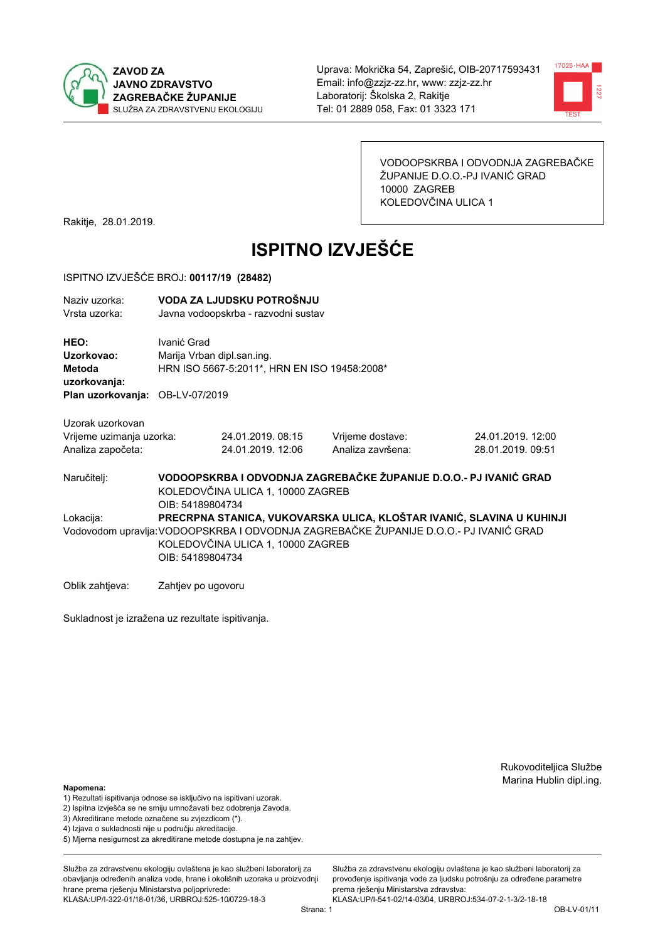



VODOOPSKRBA I ODVODNJA ZAGREBAČKE ŽUPANIJE D.O.O.-PJ IVANIĆ GRAD 10000 ZAGREB KOLEDOVČINA ULICA 1

Rakitje, 28.01.2019.

# **ISPITNO IZVJEŠĆE**

#### ISPITNO IZVJEŠĆE BROJ: 00117/19 (28482)

| Naziv uzorka:<br>Vrsta uzorka:                      | VODA ZA LJUDSKU POTROŠNJU<br>Javna vodoopskrba - razvodni sustav                                                           |                                   |                                                                                      |                                                                       |  |  |
|-----------------------------------------------------|----------------------------------------------------------------------------------------------------------------------------|-----------------------------------|--------------------------------------------------------------------------------------|-----------------------------------------------------------------------|--|--|
| <b>HEO:</b><br>Uzorkovao:<br>Metoda<br>uzorkovanja: | Ivanić Grad<br>Marija Vrban dipl.san.ing.<br>HRN ISO 5667-5:2011*, HRN EN ISO 19458:2008*                                  |                                   |                                                                                      |                                                                       |  |  |
| Plan uzorkovanja: OB-LV-07/2019                     |                                                                                                                            |                                   |                                                                                      |                                                                       |  |  |
| Uzorak uzorkovan<br>Vrijeme uzimanja uzorka:        |                                                                                                                            | 24.01.2019.08:15                  | Vrijeme dostave:                                                                     | 24.01.2019. 12:00                                                     |  |  |
| Analiza započeta:                                   |                                                                                                                            | 24.01.2019. 12:06                 | Analiza završena:                                                                    | 28.01.2019. 09:51                                                     |  |  |
| Naručitelj:                                         | VODOOPSKRBA I ODVODNJA ZAGREBAČKE ŽUPANIJE D.O.O.- PJ IVANIĆ GRAD<br>KOLEDOVČINA ULICA 1, 10000 ZAGREB<br>OIB: 54189804734 |                                   |                                                                                      |                                                                       |  |  |
| Lokacija:                                           | OIB: 54189804734                                                                                                           | KOLEDOVČINA ULICA 1, 10000 ZAGREB | Vodovodom upravlja:VODOOPSKRBA I ODVODNJA ZAGREBAČKE ŽUPANIJE D.O.O.- PJ IVANIĆ GRAD | PRECRPNA STANICA, VUKOVARSKA ULICA, KLOŠTAR IVANIĆ, SLAVINA U KUHINJI |  |  |
|                                                     |                                                                                                                            |                                   |                                                                                      |                                                                       |  |  |

Oblik zahtjeva: Zahtjev po ugovoru

Sukladnost je izražena uz rezultate ispitivanja.

Rukovoditeljica Službe Marina Hublin dipl.ing.

#### Napomena:

- 1) Rezultati ispitivanja odnose se isključivo na ispitivani uzorak.
- 2) Ispitna izvješća se ne smiju umnožavati bez odobrenja Zavoda.
- 3) Akreditirane metode označene su zvjezdicom (\*).
- 4) Iziava o sukladnosti nije u području akreditacije.
- 5) Mjerna nesigurnost za akreditirane metode dostupna je na zahtjev.

Služba za zdravstvenu ekologiju ovlaštena je kao službeni laboratorij za obavlianie određenih analiza vode, hrane i okolišnih uzoraka u proizvodniji hrane prema rješenju Ministarstva poljoprivrede:

KLASA:UP/I-322-01/18-01/36, URBROJ:525-10/0729-18-3

Služba za zdravstvenu ekologiju ovlaštena je kao službeni laboratorij za provođenie ispitivania vode za liudsku potrošniu za određene parametre prema rješenju Ministarstva zdravstva:

KLASA:UP/I-541-02/14-03/04, URBROJ:534-07-2-1-3/2-18-18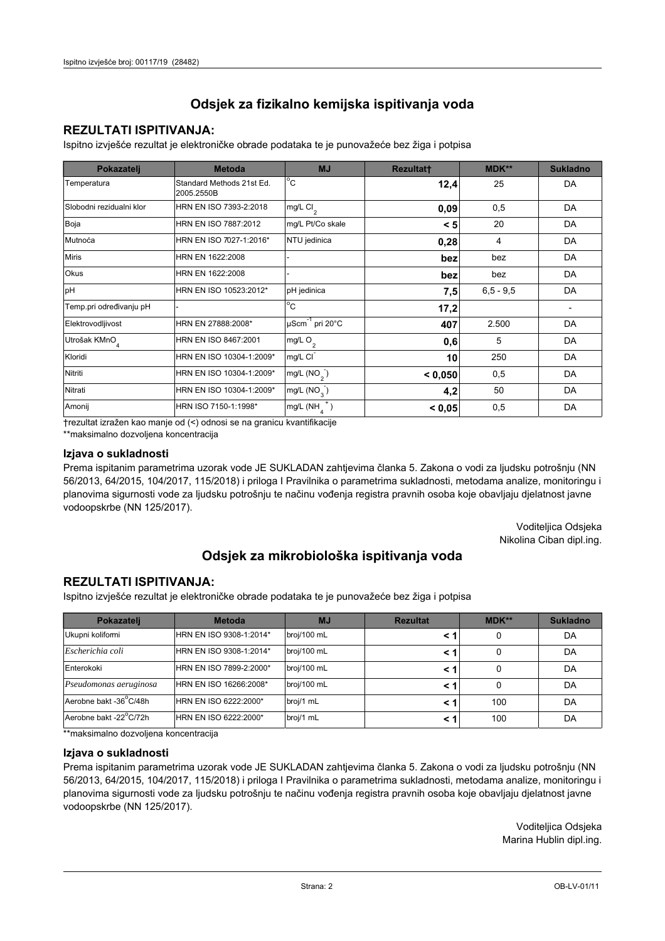## **REZULTATI ISPITIVANJA:**

Ispitno izviešće rezultat je elektroničke obrade podataka te je punovažeće bez žiga i potpisa

| Pokazatelj                | <b>Metoda</b>                           | <b>MJ</b>                   | <b>Rezultatt</b> | <b>MDK**</b>  | <b>Sukladno</b> |
|---------------------------|-----------------------------------------|-----------------------------|------------------|---------------|-----------------|
| Temperatura               | Standard Methods 21st Ed.<br>2005.2550B | $^{\circ}$ C                | 12,4             | 25            | DA              |
| Slobodni rezidualni klor  | HRN EN ISO 7393-2:2018                  | mg/L Cl <sub>2</sub>        | 0,09             | 0,5           | DA              |
| Boja                      | HRN EN ISO 7887:2012                    | mg/L Pt/Co skale            | < 5              | 20            | DA              |
| Mutnoća                   | HRN EN ISO 7027-1:2016*                 | NTU jedinica                | 0,28             | 4             | DA              |
| <b>Miris</b>              | HRN EN 1622:2008                        |                             | bez              | bez           | DA              |
| <b>Okus</b>               | HRN EN 1622:2008                        |                             | bez              | bez           | DA              |
| pH                        | HRN EN ISO 10523:2012*                  | pH jedinica                 | 7,5              | $6, 5 - 9, 5$ | DA              |
| Temp.pri određivanju pH   |                                         | $\overline{C}$              | 17,2             |               |                 |
| Elektrovodljivost         | HRN EN 27888:2008*                      | µScm <sup>-1</sup> pri 20°C | 407              | 2.500         | DA              |
| Utrošak KMnO <sub>4</sub> | HRN EN ISO 8467:2001                    | mg/L O <sub>2</sub>         | 0,6              | 5             | DA              |
| Kloridi                   | HRN EN ISO 10304-1:2009*                | mg/L CI                     | 10               | 250           | DA              |
| Nitriti                   | HRN EN ISO 10304-1:2009*                | mg/L $(NO2)$                | < 0,050          | 0,5           | DA              |
| Nitrati                   | HRN EN ISO 10304-1:2009*                | mg/L (NO <sub>3</sub> )     | 4,2              | 50            | DA              |
| Amonij                    | HRN ISO 7150-1:1998*                    | mg/L (NH                    | < 0,05           | 0,5           | DA              |

trezultat izražen kao manje od (<) odnosi se na granicu kvantifikacije

\*\*maksimalno dozvoljena koncentracija

#### Izjava o sukladnosti

Prema ispitanim parametrima uzorak vode JE SUKLADAN zahtievima članka 5. Zakona o vodi za ljudsku potrošnju (NN 56/2013, 64/2015, 104/2017, 115/2018) i priloga I Pravilnika o parametrima sukladnosti, metodama analize, monitoringu i planovima sigurnosti vode za ljudsku potrošnju te načinu vođenja registra pravnih osoba koje obavljaju djelatnost javne vodoopskrbe (NN 125/2017).

> Voditeljica Odsjeka Nikolina Ciban dipl.ing.

## Odsjek za mikrobiološka ispitivanja voda

### **REZULTATI ISPITIVANJA:**

Ispitno izvješće rezultat je elektroničke obrade podataka te je punovažeće bez žiga i potpisa

| Pokazatelj             | <b>Metoda</b>           | <b>MJ</b>   | <b>Rezultat</b> | $MDK**$ | <b>Sukladno</b> |
|------------------------|-------------------------|-------------|-----------------|---------|-----------------|
| Ukupni kolifomi        | HRN EN ISO 9308-1:2014* | broj/100 mL |                 | 0       | DA              |
| Escherichia coli       | HRN EN ISO 9308-1:2014* | broj/100 mL |                 | 0       | DA              |
| Enterokoki             | HRN EN ISO 7899-2:2000* | broj/100 mL |                 | 0       | DA              |
| Pseudomonas aeruginosa | HRN EN ISO 16266:2008*  | broj/100 mL | < 1             | 0       | DA              |
| Aerobne bakt -36 C/48h | HRN EN ISO 6222:2000*   | broj/1 mL   |                 | 100     | DA              |
| Aerobne bakt -22°C/72h | HRN EN ISO 6222:2000*   | broj/1 mL   |                 | 100     | DA              |

\*\* maksimalno dozvoljena koncentracija

#### Izjava o sukladnosti

Prema ispitanim parametrima uzorak vode JE SUKLADAN zahtjevima članka 5. Zakona o vodi za ljudsku potrošnju (NN 56/2013, 64/2015, 104/2017, 115/2018) i priloga I Pravilnika o parametrima sukladnosti, metodama analize, monitoringu i planovima sigurnosti vode za ljudsku potrošnju te načinu vođenja registra pravnih osoba koje obavljaju djelatnost javne vodoopskrbe (NN 125/2017).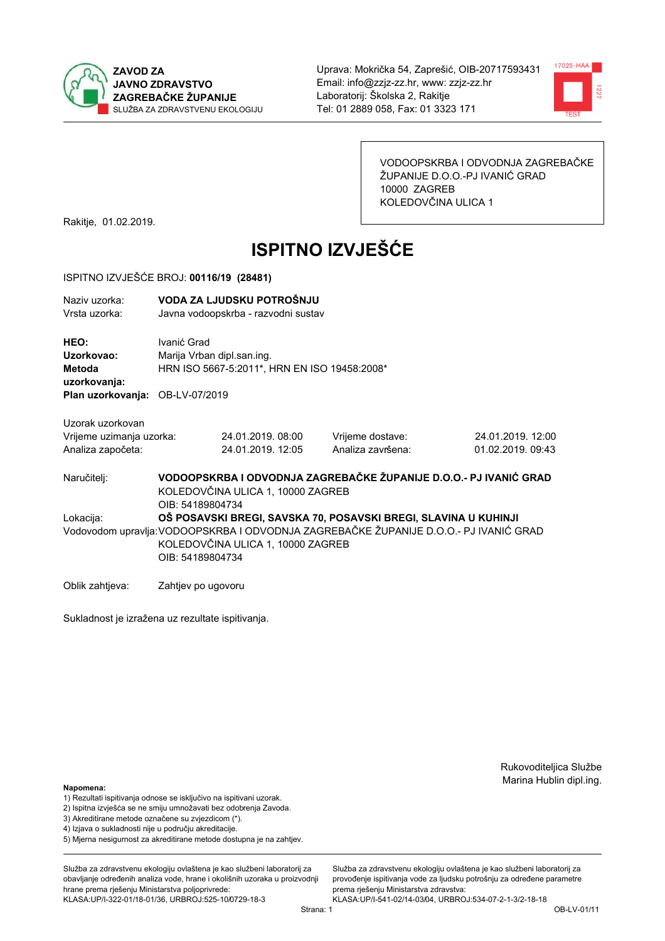



VODOOPSKRBA I ODVODNJA ZAGREBAČKE ŽUPANIJE D.O.O.-PJ IVANIĆ GRAD 10000 ZAGREB KOLEDOVČINA ULICA 1

Rakitje, 01.02.2019.

# **ISPITNO IZVJEŠĆE**

#### ISPITNO IZVJEŠĆE BROJ: 00116/19 (28481)

| Naziv uzorka:<br>Vrsta uzorka:               |                                                                                                                                                                                                                  | VODA ZA LJUDSKU POTROŠNJU<br>Javna vodoopskrba - razvodni sustav                          |                   |                   |  |  |  |
|----------------------------------------------|------------------------------------------------------------------------------------------------------------------------------------------------------------------------------------------------------------------|-------------------------------------------------------------------------------------------|-------------------|-------------------|--|--|--|
| HEO:<br>Uzorkovao:<br>Metoda<br>uzorkovanja: |                                                                                                                                                                                                                  | Ivanić Grad<br>Marija Vrban dipl.san.ing.<br>HRN ISO 5667-5:2011*, HRN EN ISO 19458:2008* |                   |                   |  |  |  |
| Plan uzorkovanja:                            | OB-LV-07/2019                                                                                                                                                                                                    |                                                                                           |                   |                   |  |  |  |
| Uzorak uzorkovan                             |                                                                                                                                                                                                                  |                                                                                           |                   |                   |  |  |  |
| Vrijeme uzimanja uzorka:                     |                                                                                                                                                                                                                  | 24.01.2019.08:00                                                                          | Vrijeme dostave:  | 24.01.2019. 12:00 |  |  |  |
| Analiza započeta:                            |                                                                                                                                                                                                                  | 24.01.2019. 12:05                                                                         | Analiza završena: | 01.02.2019. 09:43 |  |  |  |
| Naručitelj:                                  | VODOOPSKRBA I ODVODNJA ZAGREBAČKE ŽUPANIJE D.O.O.- PJ IVANIĆ GRAD<br>KOLEDOVČINA ULICA 1, 10000 ZAGREB<br>OIB: 54189804734                                                                                       |                                                                                           |                   |                   |  |  |  |
| Lokacija:                                    | OŠ POSAVSKI BREGI, SAVSKA 70, POSAVSKI BREGI, SLAVINA U KUHINJI<br>Vodovodom upravlja:VODOOPSKRBA I ODVODNJA ZAGREBAČKE ŽUPANIJE D.O.O.- PJ IVANIĆ GRAD<br>KOLEDOVČINA ULICA 1, 10000 ZAGREB<br>OIB: 54189804734 |                                                                                           |                   |                   |  |  |  |

Oblik zahtjeva: Zahtjev po ugovoru

Sukladnost je izražena uz rezultate ispitivanja.

Rukovoditeljica Službe Marina Hublin dipl.ing.

#### Napomena:

- 1) Rezultati ispitivanja odnose se isključivo na ispitivani uzorak.
- 2) Ispitna izvješća se ne smiju umnožavati bez odobrenja Zavoda.
- 3) Akreditirane metode označene su zvjezdicom (\*).
- 4) Iziava o sukladnosti nije u području akreditacije.
- 5) Mjerna nesigurnost za akreditirane metode dostupna je na zahtjev.

Služba za zdravstvenu ekologiju ovlaštena je kao službeni laboratorij za obavlianie određenih analiza vode, hrane i okolišnih uzoraka u proizvodniji hrane prema rješenju Ministarstva poljoprivrede: KLASA:UP/I-322-01/18-01/36, URBROJ:525-10/0729-18-3

Služba za zdravstvenu ekologiju ovlaštena je kao službeni laboratorij za provođenie ispitivania vode za liudsku potrošniu za određene parametre prema rješenju Ministarstva zdravstva:

KLASA:UP/I-541-02/14-03/04, URBROJ:534-07-2-1-3/2-18-18